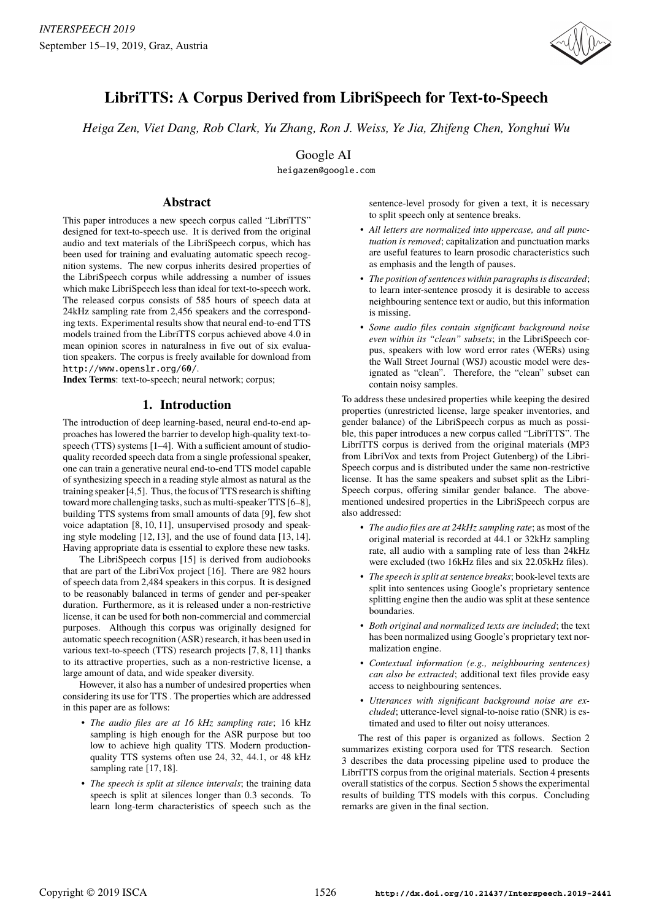

# **LibriTTS: A Corpus Derived from LibriSpeech for Text-to-Speech**

*Heiga Zen, Viet Dang, Rob Clark, Yu Zhang, Ron J. Weiss, Ye Jia, Zhifeng Chen, Yonghui Wu*

Google AI

heigazen@google.com

### **Abstract**

This paper introduces a new speech corpus called "LibriTTS" designed for text-to-speech use. It is derived from the original audio and text materials of the LibriSpeech corpus, which has been used for training and evaluating automatic speech recognition systems. The new corpus inherits desired properties of the LibriSpeech corpus while addressing a number of issues which make LibriSpeech less than ideal for text-to-speech work. The released corpus consists of 585 hours of speech data at 24kHz sampling rate from 2,456 speakers and the corresponding texts. Experimental results show that neural end-to-end TTS models trained from the LibriTTS corpus achieved above 4.0 in mean opinion scores in naturalness in five out of six evaluation speakers. The corpus is freely available for download from http://www.openslr.org/60/.

**Index Terms**: text-to-speech; neural network; corpus;

# **1. Introduction**

The introduction of deep learning-based, neural end-to-end approaches has lowered the barrier to develop high-quality text-tospeech (TTS) systems [1–4]. With a sufficient amount of studioquality recorded speech data from a single professional speaker, one can train a generative neural end-to-end TTS model capable of synthesizing speech in a reading style almost as natural as the training speaker [4,5]. Thus, the focus of TTS research is shifting toward more challenging tasks, such as multi-speaker TTS [6–8], building TTS systems from small amounts of data [9], few shot voice adaptation [8, 10, 11], unsupervised prosody and speaking style modeling [12, 13], and the use of found data [13, 14]. Having appropriate data is essential to explore these new tasks.

The LibriSpeech corpus [15] is derived from audiobooks that are part of the LibriVox project [16]. There are 982 hours of speech data from 2,484 speakers in this corpus. It is designed to be reasonably balanced in terms of gender and per-speaker duration. Furthermore, as it is released under a non-restrictive license, it can be used for both non-commercial and commercial purposes. Although this corpus was originally designed for automatic speech recognition (ASR) research, it has been used in various text-to-speech (TTS) research projects [7, 8, 11] thanks to its attractive properties, such as a non-restrictive license, a large amount of data, and wide speaker diversity.

However, it also has a number of undesired properties when considering its use for TTS . The properties which are addressed in this paper are as follows:

- *The audio files are at 16 kHz sampling rate*; 16 kHz sampling is high enough for the ASR purpose but too low to achieve high quality TTS. Modern productionquality TTS systems often use 24, 32, 44.1, or 48 kHz sampling rate [17, 18].
- *The speech is split at silence intervals*; the training data speech is split at silences longer than 0.3 seconds. To learn long-term characteristics of speech such as the

sentence-level prosody for given a text, it is necessary to split speech only at sentence breaks.

- *All letters are normalized into uppercase, and all punctuation is removed*; capitalization and punctuation marks are useful features to learn prosodic characteristics such as emphasis and the length of pauses.
- *The position of sentences within paragraphs is discarded*; to learn inter-sentence prosody it is desirable to access neighbouring sentence text or audio, but this information is missing.
- *Some audio files contain significant background noise even within its "clean" subsets*; in the LibriSpeech corpus, speakers with low word error rates (WERs) using the Wall Street Journal (WSJ) acoustic model were designated as "clean". Therefore, the "clean" subset can contain noisy samples.

To address these undesired properties while keeping the desired properties (unrestricted license, large speaker inventories, and gender balance) of the LibriSpeech corpus as much as possible, this paper introduces a new corpus called "LibriTTS". The LibriTTS corpus is derived from the original materials (MP3 from LibriVox and texts from Project Gutenberg) of the Libri-Speech corpus and is distributed under the same non-restrictive license. It has the same speakers and subset split as the Libri-Speech corpus, offering similar gender balance. The abovementioned undesired properties in the LibriSpeech corpus are also addressed:

- *The audio files are at 24kHz sampling rate*; as most of the original material is recorded at 44.1 or 32kHz sampling rate, all audio with a sampling rate of less than 24kHz were excluded (two 16kHz files and six 22.05kHz files).
- *The speech is split at sentence breaks*; book-level texts are split into sentences using Google's proprietary sentence splitting engine then the audio was split at these sentence boundaries.
- *Both original and normalized texts are included*; the text has been normalized using Google's proprietary text normalization engine.
- *Contextual information (e.g., neighbouring sentences) can also be extracted*; additional text files provide easy access to neighbouring sentences.
- *Utterances with significant background noise are excluded*; utterance-level signal-to-noise ratio (SNR) is estimated and used to filter out noisy utterances.

The rest of this paper is organized as follows. Section 2 summarizes existing corpora used for TTS research. Section 3 describes the data processing pipeline used to produce the LibriTTS corpus from the original materials. Section 4 presents overall statistics of the corpus. Section 5 shows the experimental results of building TTS models with this corpus. Concluding remarks are given in the final section.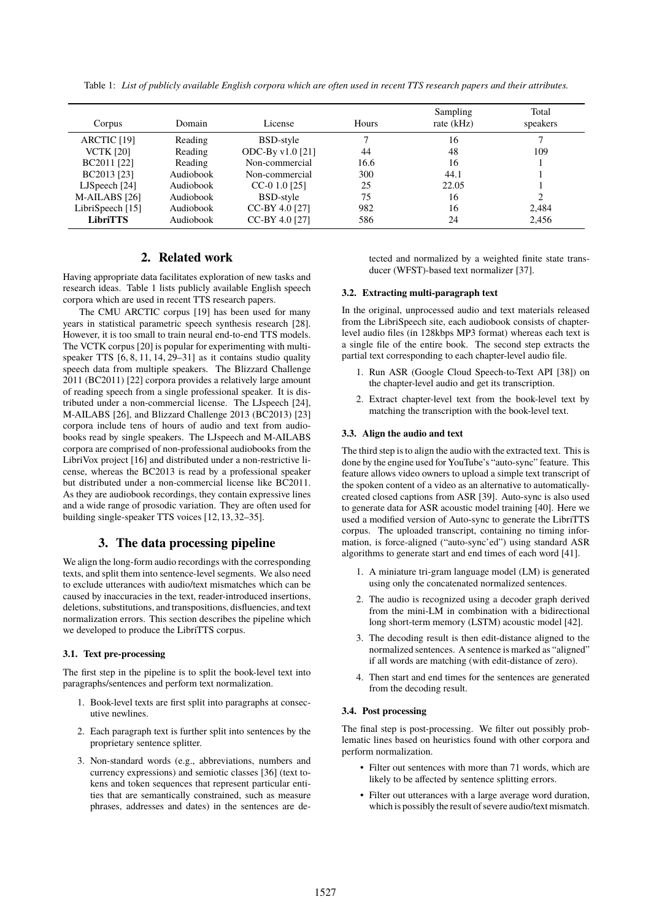| Corpus                 | Domain    | License            | Hours | Sampling<br>rate (kHz) | Total<br>speakers |
|------------------------|-----------|--------------------|-------|------------------------|-------------------|
| ARCTIC <sub>[19]</sub> | Reading   | BSD-style          |       | 16                     |                   |
| <b>VCTK [20]</b>       | Reading   | ODC-By $v1.0$ [21] | 44    | 48                     | 109               |
| BC2011 [22]            | Reading   | Non-commercial     | 16.6  | 16                     |                   |
| BC2013 [23]            | Audiobook | Non-commercial     | 300   | 44.1                   |                   |
| LJSpeech $[24]$        | Audiobook | $CC-0$ 1.0 [25]    | 25    | 22.05                  |                   |
| M-AILABS [26]          | Audiobook | BSD-style          | 75    | 16                     | າ                 |
| LibriSpeech [15]       | Audiobook | CC-BY 4.0 [27]     | 982   | 16                     | 2,484             |
| <b>LibriTTS</b>        | Audiobook | CC-BY 4.0 [27]     | 586   | 24                     | 2,456             |

Table 1: *List of publicly available English corpora which are often used in recent TTS research papers and their attributes.*

# **2. Related work**

Having appropriate data facilitates exploration of new tasks and research ideas. Table 1 lists publicly available English speech corpora which are used in recent TTS research papers.

The CMU ARCTIC corpus [19] has been used for many years in statistical parametric speech synthesis research [28]. However, it is too small to train neural end-to-end TTS models. The VCTK corpus [20] is popular for experimenting with multispeaker TTS [6, 8, 11, 14, 29–31] as it contains studio quality speech data from multiple speakers. The Blizzard Challenge 2011 (BC2011) [22] corpora provides a relatively large amount of reading speech from a single professional speaker. It is distributed under a non-commercial license. The LJspeech [24], M-AILABS [26], and Blizzard Challenge 2013 (BC2013) [23] corpora include tens of hours of audio and text from audiobooks read by single speakers. The LJspeech and M-AILABS corpora are comprised of non-professional audiobooks from the LibriVox project [16] and distributed under a non-restrictive license, whereas the BC2013 is read by a professional speaker but distributed under a non-commercial license like BC2011. As they are audiobook recordings, they contain expressive lines and a wide range of prosodic variation. They are often used for building single-speaker TTS voices [12, 13, 32–35].

### **3. The data processing pipeline**

We align the long-form audio recordings with the corresponding texts, and split them into sentence-level segments. We also need to exclude utterances with audio/text mismatches which can be caused by inaccuracies in the text, reader-introduced insertions, deletions, substitutions, and transpositions, disfluencies, and text normalization errors. This section describes the pipeline which we developed to produce the LibriTTS corpus.

#### **3.1. Text pre-processing**

The first step in the pipeline is to split the book-level text into paragraphs/sentences and perform text normalization.

- 1. Book-level texts are first split into paragraphs at consecutive newlines.
- 2. Each paragraph text is further split into sentences by the proprietary sentence splitter.
- 3. Non-standard words (e.g., abbreviations, numbers and currency expressions) and semiotic classes [36] (text tokens and token sequences that represent particular entities that are semantically constrained, such as measure phrases, addresses and dates) in the sentences are de-

tected and normalized by a weighted finite state transducer (WFST)-based text normalizer [37].

#### **3.2. Extracting multi-paragraph text**

In the original, unprocessed audio and text materials released from the LibriSpeech site, each audiobook consists of chapterlevel audio files (in 128kbps MP3 format) whereas each text is a single file of the entire book. The second step extracts the partial text corresponding to each chapter-level audio file.

- 1. Run ASR (Google Cloud Speech-to-Text API [38]) on the chapter-level audio and get its transcription.
- 2. Extract chapter-level text from the book-level text by matching the transcription with the book-level text.

#### **3.3. Align the audio and text**

The third step is to align the audio with the extracted text. This is done by the engine used for YouTube's "auto-sync" feature. This feature allows video owners to upload a simple text transcript of the spoken content of a video as an alternative to automaticallycreated closed captions from ASR [39]. Auto-sync is also used to generate data for ASR acoustic model training [40]. Here we used a modified version of Auto-sync to generate the LibriTTS corpus. The uploaded transcript, containing no timing information, is force-aligned ("auto-sync'ed") using standard ASR algorithms to generate start and end times of each word [41].

- 1. A miniature tri-gram language model (LM) is generated using only the concatenated normalized sentences.
- 2. The audio is recognized using a decoder graph derived from the mini-LM in combination with a bidirectional long short-term memory (LSTM) acoustic model [42].
- 3. The decoding result is then edit-distance aligned to the normalized sentences. A sentence is marked as "aligned" if all words are matching (with edit-distance of zero).
- 4. Then start and end times for the sentences are generated from the decoding result.

#### **3.4. Post processing**

The final step is post-processing. We filter out possibly problematic lines based on heuristics found with other corpora and perform normalization.

- Filter out sentences with more than 71 words, which are likely to be affected by sentence splitting errors.
- Filter out utterances with a large average word duration, which is possibly the result of severe audio/text mismatch.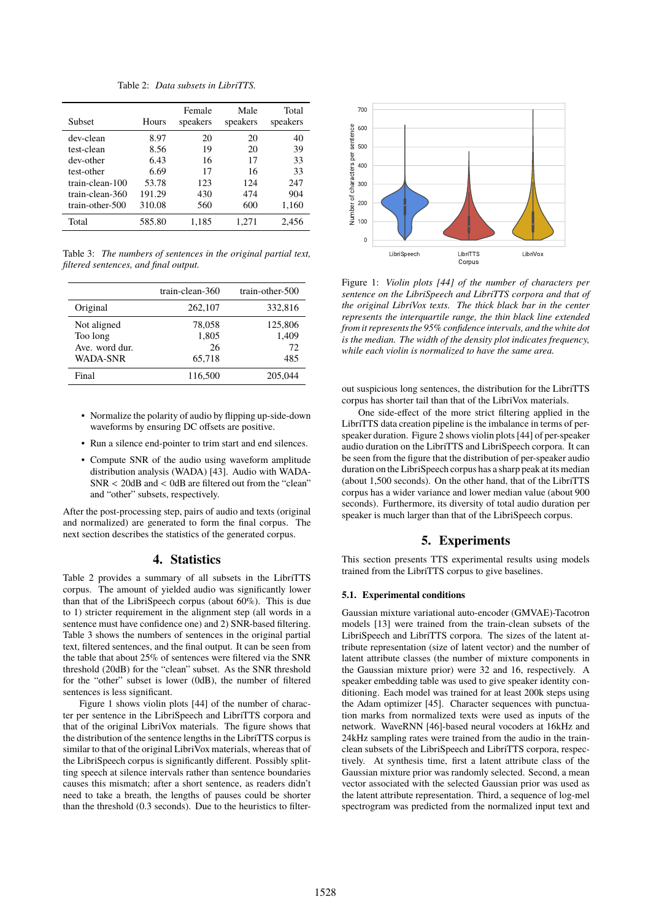Table 2: *Data subsets in LibriTTS.*

| <b>Subset</b>   | Hours  | Female<br>speakers | Male<br>speakers | Total<br>speakers |
|-----------------|--------|--------------------|------------------|-------------------|
| dev-clean       | 8.97   | 20                 | 20               | 40                |
| test-clean      | 8.56   | 19                 | 20               | 39                |
| dev-other       | 6.43   | 16                 | 17               | 33                |
| test-other      | 6.69   | 17                 | 16               | 33                |
| train-clean-100 | 53.78  | 123                | 124              | 247               |
| train-clean-360 | 191.29 | 430                | 474              | 904               |
| train-other-500 | 310.08 | 560                | 600              | 1,160             |
| Total           | 585.80 | 1.185              | 1.271            | 2.456             |

Table 3: *The numbers of sentences in the original partial text, filtered sentences, and final output.*

|                                                              | train-clean-360                 | train-other-500               |
|--------------------------------------------------------------|---------------------------------|-------------------------------|
| Original                                                     | 262,107                         | 332,816                       |
| Not aligned<br>Too long<br>Ave. word dur.<br><b>WADA-SNR</b> | 78,058<br>1,805<br>26<br>65,718 | 125,806<br>1,409<br>72<br>485 |
| Final                                                        | 116,500                         | 205,044                       |

- Normalize the polarity of audio by flipping up-side-down waveforms by ensuring DC offsets are positive.
- Run a silence end-pointer to trim start and end silences.
- Compute SNR of the audio using waveform amplitude distribution analysis (WADA) [43]. Audio with WADA-SNR < 20dB and < 0dB are filtered out from the "clean" and "other" subsets, respectively.

After the post-processing step, pairs of audio and texts (original and normalized) are generated to form the final corpus. The next section describes the statistics of the generated corpus.

### **4. Statistics**

Table 2 provides a summary of all subsets in the LibriTTS corpus. The amount of yielded audio was significantly lower than that of the LibriSpeech corpus (about 60%). This is due to 1) stricter requirement in the alignment step (all words in a sentence must have confidence one) and 2) SNR-based filtering. Table 3 shows the numbers of sentences in the original partial text, filtered sentences, and the final output. It can be seen from the table that about 25% of sentences were filtered via the SNR threshold (20dB) for the "clean" subset. As the SNR threshold for the "other" subset is lower (0dB), the number of filtered sentences is less significant.

Figure 1 shows violin plots [44] of the number of character per sentence in the LibriSpeech and LibriTTS corpora and that of the original LibriVox materials. The figure shows that the distribution of the sentence lengths in the LibriTTS corpus is similar to that of the original LibriVox materials, whereas that of the LibriSpeech corpus is significantly different. Possibly splitting speech at silence intervals rather than sentence boundaries causes this mismatch; after a short sentence, as readers didn't need to take a breath, the lengths of pauses could be shorter than the threshold (0.3 seconds). Due to the heuristics to filter-



Figure 1: *Violin plots [44] of the number of characters per sentence on the LibriSpeech and LibriTTS corpora and that of the original LibriVox texts. The thick black bar in the center represents the interquartile range, the thin black line extended from it represents the 95% confidence intervals, and the white dot is the median. The width of the density plot indicates frequency, while each violin is normalized to have the same area.*

out suspicious long sentences, the distribution for the LibriTTS corpus has shorter tail than that of the LibriVox materials.

One side-effect of the more strict filtering applied in the LibriTTS data creation pipeline is the imbalance in terms of perspeaker duration. Figure 2 shows violin plots [44] of per-speaker audio duration on the LibriTTS and LibriSpeech corpora. It can be seen from the figure that the distribution of per-speaker audio duration on the LibriSpeech corpus has a sharp peak at its median (about 1,500 seconds). On the other hand, that of the LibriTTS corpus has a wider variance and lower median value (about 900 seconds). Furthermore, its diversity of total audio duration per speaker is much larger than that of the LibriSpeech corpus.

# **5. Experiments**

This section presents TTS experimental results using models trained from the LibriTTS corpus to give baselines.

#### **5.1. Experimental conditions**

Gaussian mixture variational auto-encoder (GMVAE)-Tacotron models [13] were trained from the train-clean subsets of the LibriSpeech and LibriTTS corpora. The sizes of the latent attribute representation (size of latent vector) and the number of latent attribute classes (the number of mixture components in the Gaussian mixture prior) were 32 and 16, respectively. A speaker embedding table was used to give speaker identity conditioning. Each model was trained for at least 200k steps using the Adam optimizer [45]. Character sequences with punctuation marks from normalized texts were used as inputs of the network. WaveRNN [46]-based neural vocoders at 16kHz and 24kHz sampling rates were trained from the audio in the trainclean subsets of the LibriSpeech and LibriTTS corpora, respectively. At synthesis time, first a latent attribute class of the Gaussian mixture prior was randomly selected. Second, a mean vector associated with the selected Gaussian prior was used as the latent attribute representation. Third, a sequence of log-mel spectrogram was predicted from the normalized input text and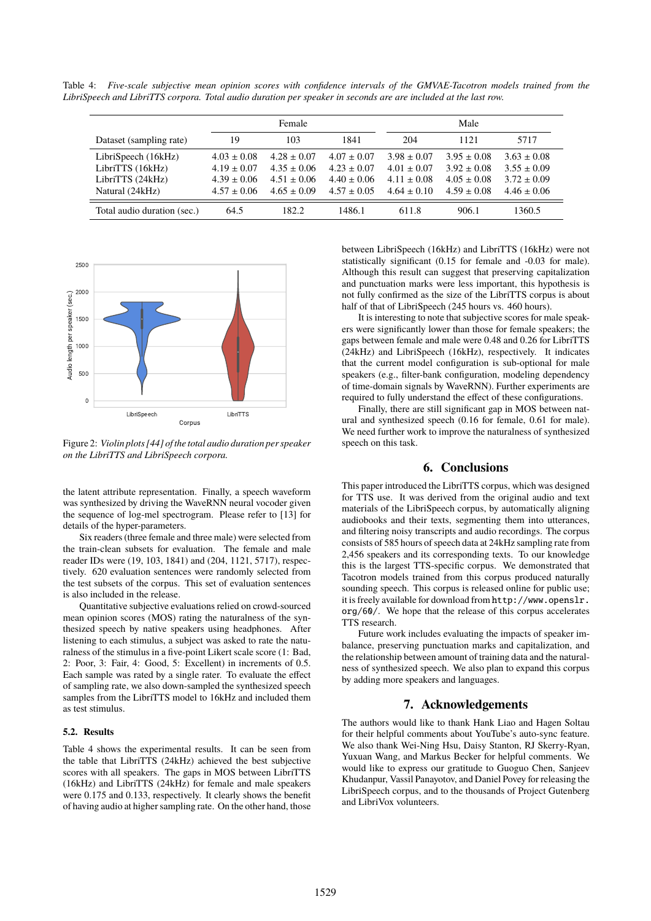Table 4: *Five-scale subjective mean opinion scores with confidence intervals of the GMVAE-Tacotron models trained from the LibriSpeech and LibriTTS corpora. Total audio duration per speaker in seconds are are included at the last row.*

|                                                                                | Female                                                                   |                                                                          |                                                                          | Male                                                                     |                                                                          |                                                                          |
|--------------------------------------------------------------------------------|--------------------------------------------------------------------------|--------------------------------------------------------------------------|--------------------------------------------------------------------------|--------------------------------------------------------------------------|--------------------------------------------------------------------------|--------------------------------------------------------------------------|
| Dataset (sampling rate)                                                        | 19                                                                       | 103                                                                      | 1841                                                                     | 204                                                                      | 1121                                                                     | 5717                                                                     |
| LibriSpeech (16kHz)<br>LibriTTS (16kHz)<br>LibriTTS (24kHz)<br>Natural (24kHz) | $4.03 \pm 0.08$<br>$4.19 \pm 0.07$<br>$4.39 \pm 0.06$<br>$4.57 \pm 0.06$ | $4.28 \pm 0.07$<br>$4.35 \pm 0.06$<br>$4.51 \pm 0.06$<br>$4.65 \pm 0.09$ | $4.07 \pm 0.07$<br>$4.23 \pm 0.07$<br>$4.40 \pm 0.06$<br>$4.57 \pm 0.05$ | $3.98 \pm 0.07$<br>$4.01 \pm 0.07$<br>$4.11 \pm 0.08$<br>$4.64 \pm 0.10$ | $3.95 \pm 0.08$<br>$3.92 \pm 0.08$<br>$4.05 \pm 0.08$<br>$4.59 \pm 0.08$ | $3.63 \pm 0.08$<br>$3.55 \pm 0.09$<br>$3.72 \pm 0.09$<br>$4.46 \pm 0.06$ |
| Total audio duration (sec.)                                                    | 64.5                                                                     | 182.2                                                                    | 1486.1                                                                   | 611.8                                                                    | 906.1                                                                    | 1360.5                                                                   |



Figure 2: *Violin plots [44] of the total audio duration per speaker on the LibriTTS and LibriSpeech corpora.*

the latent attribute representation. Finally, a speech waveform was synthesized by driving the WaveRNN neural vocoder given the sequence of log-mel spectrogram. Please refer to [13] for details of the hyper-parameters.

Six readers (three female and three male) were selected from the train-clean subsets for evaluation. The female and male reader IDs were (19, 103, 1841) and (204, 1121, 5717), respectively. 620 evaluation sentences were randomly selected from the test subsets of the corpus. This set of evaluation sentences is also included in the release.

Quantitative subjective evaluations relied on crowd-sourced mean opinion scores (MOS) rating the naturalness of the synthesized speech by native speakers using headphones. After listening to each stimulus, a subject was asked to rate the naturalness of the stimulus in a five-point Likert scale score (1: Bad, 2: Poor, 3: Fair, 4: Good, 5: Excellent) in increments of 0.5. Each sample was rated by a single rater. To evaluate the effect of sampling rate, we also down-sampled the synthesized speech samples from the LibriTTS model to 16kHz and included them as test stimulus.

#### **5.2. Results**

Table 4 shows the experimental results. It can be seen from the table that LibriTTS (24kHz) achieved the best subjective scores with all speakers. The gaps in MOS between LibriTTS (16kHz) and LibriTTS (24kHz) for female and male speakers were 0.175 and 0.133, respectively. It clearly shows the benefit of having audio at higher sampling rate. On the other hand, those

between LibriSpeech (16kHz) and LibriTTS (16kHz) were not statistically significant (0.15 for female and -0.03 for male). Although this result can suggest that preserving capitalization and punctuation marks were less important, this hypothesis is not fully confirmed as the size of the LibriTTS corpus is about half of that of LibriSpeech (245 hours vs. 460 hours).

It is interesting to note that subjective scores for male speakers were significantly lower than those for female speakers; the gaps between female and male were 0.48 and 0.26 for LibriTTS (24kHz) and LibriSpeech (16kHz), respectively. It indicates that the current model configuration is sub-optional for male speakers (e.g., filter-bank configuration, modeling dependency of time-domain signals by WaveRNN). Further experiments are required to fully understand the effect of these configurations.

Finally, there are still significant gap in MOS between natural and synthesized speech (0.16 for female, 0.61 for male). We need further work to improve the naturalness of synthesized speech on this task.

### **6. Conclusions**

This paper introduced the LibriTTS corpus, which was designed for TTS use. It was derived from the original audio and text materials of the LibriSpeech corpus, by automatically aligning audiobooks and their texts, segmenting them into utterances, and filtering noisy transcripts and audio recordings. The corpus consists of 585 hours of speech data at 24kHz sampling rate from 2,456 speakers and its corresponding texts. To our knowledge this is the largest TTS-specific corpus. We demonstrated that Tacotron models trained from this corpus produced naturally sounding speech. This corpus is released online for public use; it is freely available for download from http://www.openslr. org/60/. We hope that the release of this corpus accelerates TTS research.

Future work includes evaluating the impacts of speaker imbalance, preserving punctuation marks and capitalization, and the relationship between amount of training data and the naturalness of synthesized speech. We also plan to expand this corpus by adding more speakers and languages.

# **7. Acknowledgements**

The authors would like to thank Hank Liao and Hagen Soltau for their helpful comments about YouTube's auto-sync feature. We also thank Wei-Ning Hsu, Daisy Stanton, RJ Skerry-Ryan, Yuxuan Wang, and Markus Becker for helpful comments. We would like to express our gratitude to Guoguo Chen, Sanjeev Khudanpur, Vassil Panayotov, and Daniel Povey for releasing the LibriSpeech corpus, and to the thousands of Project Gutenberg and LibriVox volunteers.